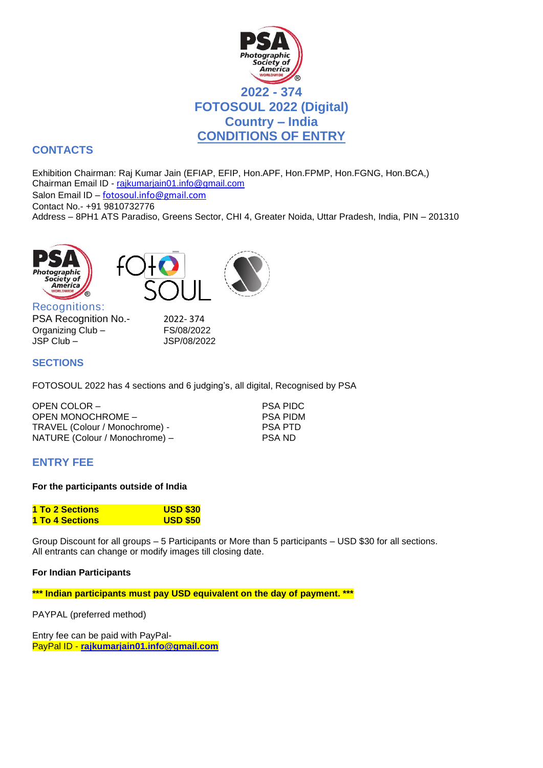

# **CONTACTS**

Exhibition Chairman: Raj Kumar Jain (EFIAP, EFIP, Hon.APF, Hon.FPMP, Hon.FGNG, Hon.BCA,) Chairman Email ID - [rajkumarjain01.info@gmail.com](mailto:rajkumarjain01.info@gmail.com) Salon Email ID – [fotosoul.info@gmail.com](mailto:fotosoul.info@gmail.com) Contact No.- +91 9810732776 Address – 8PH1 ATS Paradiso, Greens Sector, CHI 4, Greater Noida, Uttar Pradesh, India, PIN – 201310







Recognitions: PSA Recognition No.- 2022-374 Organizing Club – FS/08/2022 JSP Club – JSP/08/2022

## **SECTIONS**

FOTOSOUL 2022 has 4 sections and 6 judging's, all digital, Recognised by PSA

| OPEN COLOR -                   | <b>PSA PIDC</b> |
|--------------------------------|-----------------|
| OPEN MONOCHROME -              | <b>PSA PIDM</b> |
| TRAVEL (Colour / Monochrome) - | <b>PSA PTD</b>  |
| NATURE (Colour / Monochrome) – | PSA ND          |

## **ENTRY FEE**

#### **For the participants outside of India**

| 1 To 2 Sections | <b>USD \$30</b> |
|-----------------|-----------------|
| 1 To 4 Sections | <b>USD \$50</b> |

Group Discount for all groups – 5 Participants or More than 5 participants – USD \$30 for all sections. All entrants can change or modify images till closing date.

#### **For Indian Participants**

**\*\*\* Indian participants must pay USD equivalent on the day of payment. \*\*\***

PAYPAL (preferred method)

Entry fee can be paid with PayPal-PayPal ID - **[rajkumarjain01.info@gmail.com](mailto:rajkumarjain01.info@gmail.com)**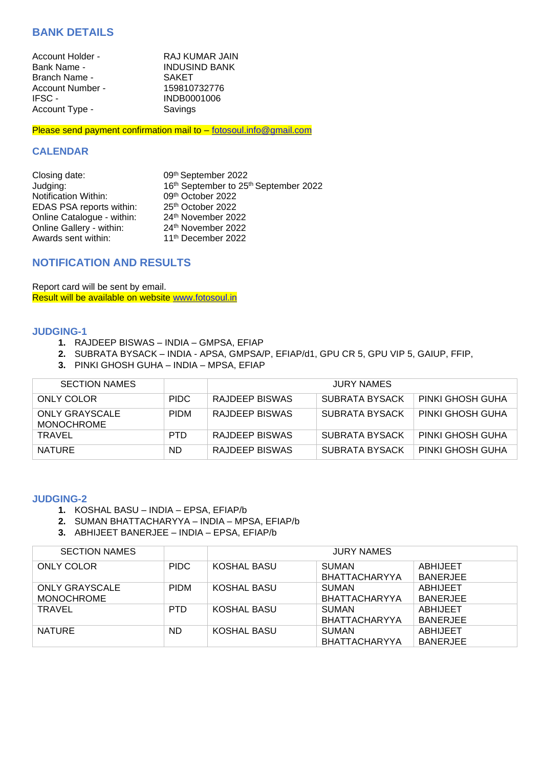## **BANK DETAILS**

| Account Holder -     | RAJ KUMAR JAIN       |
|----------------------|----------------------|
| Bank Name -          | <b>INDUSIND BANK</b> |
| <b>Branch Name -</b> | <b>SAKET</b>         |
| Account Number -     | 159810732776         |
| IFSC -               | INDB0001006          |
| Account Type -       | Savings              |
|                      |                      |

Please send payment confirmation mail to - [fotosoul.info@gmail.com](mailto:fotosoul.info@gmail.com)

#### **CALENDAR**

| Closing date:              | 09th September 2022                   |
|----------------------------|---------------------------------------|
| Judging:                   | 16th September to 25th September 2022 |
| Notification Within:       | 09th October 2022                     |
| EDAS PSA reports within:   | 25th October 2022                     |
| Online Catalogue - within: | 24th November 2022                    |
| Online Gallery - within:   | 24th November 2022                    |
| Awards sent within:        | 11 <sup>th</sup> December 2022        |

## **NOTIFICATION AND RESULTS**

Report card will be sent by email. Result will be available on website [www.fotosoul.i](http://www.fotosoul./)n

#### **JUDGING-1**

- **1.** RAJDEEP BISWAS INDIA GMPSA, EFIAP
- **2.** SUBRATA BYSACK INDIA APSA, GMPSA/P, EFIAP/d1, GPU CR 5, GPU VIP 5, GAIUP, FFIP,
- **3.** PINKI GHOSH GUHA INDIA MPSA, EFIAP

| <b>SECTION NAMES</b>                |             | <b>JURY NAMES</b> |                       |                  |  |
|-------------------------------------|-------------|-------------------|-----------------------|------------------|--|
| ONLY COLOR                          | <b>PIDC</b> | RAJDEEP BISWAS    | SUBRATA BYSACK        | PINKI GHOSH GUHA |  |
| ONLY GRAYSCALE<br><b>MONOCHROME</b> | <b>PIDM</b> | RAJDEEP BISWAS    | SUBRATA BYSACK        | PINKI GHOSH GUHA |  |
| <b>TRAVEL</b>                       | <b>PTD</b>  | RAJDEEP BISWAS    | SUBRATA BYSACK        | PINKI GHOSH GUHA |  |
| <b>NATURE</b>                       | ND.         | RAJDEEP BISWAS    | <b>SUBRATA BYSACK</b> | PINKI GHOSH GUHA |  |

#### **JUDGING-2**

- **1.** KOSHAL BASU INDIA EPSA, EFIAP/b
- **2.** SUMAN BHATTACHARYYA INDIA MPSA, EFIAP/b
- **3.** ABHIJEET BANERJEE INDIA EPSA, EFIAP/b

| <b>SECTION NAMES</b>                       |             | <b>JURY NAMES</b> |                                      |                                    |  |
|--------------------------------------------|-------------|-------------------|--------------------------------------|------------------------------------|--|
| <b>ONLY COLOR</b>                          | <b>PIDC</b> | KOSHAL BASU       | <b>SUMAN</b><br><b>BHATTACHARYYA</b> | ABHIJEET<br><b>BANERJEE</b>        |  |
| <b>ONLY GRAYSCALE</b><br><b>MONOCHROME</b> | <b>PIDM</b> | KOSHAL BASU       | <b>SUMAN</b><br><b>BHATTACHARYYA</b> | ABHIJEET<br><b>BANERJEE</b>        |  |
| TRAVEL                                     | <b>PTD</b>  | KOSHAL BASU       | <b>SUMAN</b><br><b>BHATTACHARYYA</b> | <b>ABHIJEET</b><br><b>BANERJEE</b> |  |
| <b>NATURE</b>                              | ND.         | KOSHAL BASU       | <b>SUMAN</b><br><b>BHATTACHARYYA</b> | <b>ABHIJEET</b><br><b>BANERJEE</b> |  |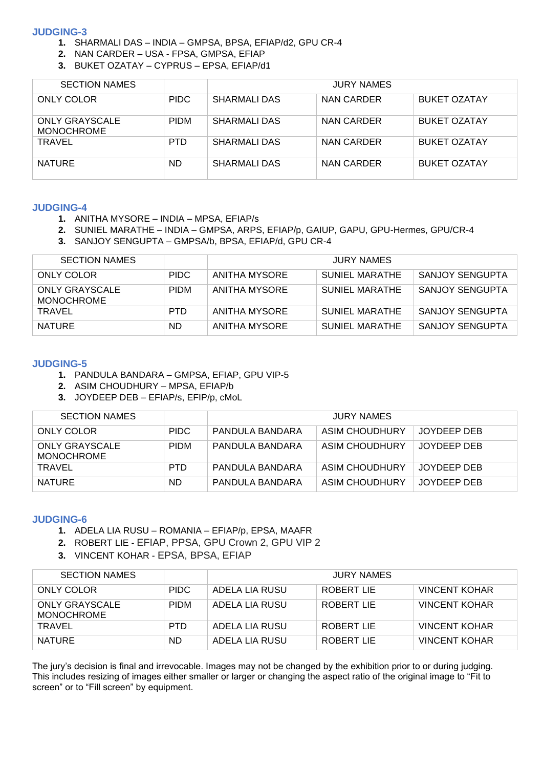#### **JUDGING-3**

- **1.** SHARMALI DAS INDIA GMPSA, BPSA, EFIAP/d2, GPU CR-4
- **2.** NAN CARDER USA FPSA, GMPSA, EFIAP
- **3.** BUKET OZATAY CYPRUS EPSA, EFIAP/d1

| <b>SECTION NAMES</b>                       |             | <b>JURY NAMES</b>   |            |                     |  |
|--------------------------------------------|-------------|---------------------|------------|---------------------|--|
| ONLY COLOR                                 | <b>PIDC</b> | SHARMALI DAS        | NAN CARDER | BUKET OZATAY        |  |
| <b>ONLY GRAYSCALE</b><br><b>MONOCHROME</b> | <b>PIDM</b> | <b>SHARMALI DAS</b> | NAN CARDER | <b>BUKET OZATAY</b> |  |
| <b>TRAVEL</b>                              | <b>PTD</b>  | SHARMALI DAS        | NAN CARDER | BUKET OZATAY        |  |
| <b>NATURE</b>                              | ND.         | SHARMALI DAS        | NAN CARDER | <b>BUKET OZATAY</b> |  |

#### **JUDGING-4**

- **1.** ANITHA MYSORE INDIA MPSA, EFIAP/s
- **2.** SUNIEL MARATHE INDIA GMPSA, ARPS, EFIAP/p, GAIUP, GAPU, GPU-Hermes, GPU/CR-4
- **3.** SANJOY SENGUPTA GMPSA/b, BPSA, EFIAP/d, GPU CR-4

| <b>SECTION NAMES</b>                |             | <b>JURY NAMES</b> |                       |                 |  |
|-------------------------------------|-------------|-------------------|-----------------------|-----------------|--|
| ONLY COLOR                          | <b>PIDC</b> | ANITHA MYSORE     | <b>SUNIEL MARATHE</b> | SANJOY SENGUPTA |  |
| <b>ONLY GRAYSCALE</b><br>MONOCHROME | <b>PIDM</b> | ANITHA MYSORE     | SUNIEL MARATHE        | SANJOY SENGUPTA |  |
| TRAVEL                              | <b>PTD</b>  | ANITHA MYSORE     | SUNIEL MARATHE        | SANJOY SENGUPTA |  |
| <b>NATURE</b>                       | ND.         | ANITHA MYSORE     | SUNIEL MARATHE        | SANJOY SENGUPTA |  |

#### **JUDGING-5**

- **1.** PANDULA BANDARA GMPSA, EFIAP, GPU VIP-5
- **2.** ASIM CHOUDHURY MPSA, EFIAP/b
- **3.** JOYDEEP DEB EFIAP/s, EFIP/p, cMoL

| <b>SECTION NAMES</b>                |             | <b>JURY NAMES</b> |                |             |  |
|-------------------------------------|-------------|-------------------|----------------|-------------|--|
| ONLY COLOR                          | <b>PIDC</b> | PANDULA BANDARA   | ASIM CHOUDHURY | JOYDEEP DEB |  |
| ONLY GRAYSCALE<br><b>MONOCHROME</b> | <b>PIDM</b> | PANDULA BANDARA   | ASIM CHOUDHURY | JOYDEEP DEB |  |
| TRAVEL                              | <b>PTD</b>  | PANDULA BANDARA   | ASIM CHOUDHURY | JOYDEEP DEB |  |
| <b>NATURE</b>                       | ND.         | PANDULA BANDARA   | ASIM CHOUDHURY | JOYDEEP DEB |  |

#### **JUDGING-6**

- **1.** ADELA LIA RUSU ROMANIA EFIAP/p, EPSA, MAAFR
- **2.** ROBERT LIE EFIAP, PPSA, GPU Crown 2, GPU VIP 2
- **3.** VINCENT KOHAR EPSA, BPSA, EFIAP

| <b>SECTION NAMES</b>                |             | <b>JURY NAMES</b> |            |                      |  |
|-------------------------------------|-------------|-------------------|------------|----------------------|--|
| ONLY COLOR                          | <b>PIDC</b> | ADELA LIA RUSU    | ROBERT LIE | <b>VINCENT KOHAR</b> |  |
| <b>ONLY GRAYSCALE</b><br>MONOCHROME | <b>PIDM</b> | ADELA LIA RUSU    | ROBERT LIE | <b>VINCENT KOHAR</b> |  |
| <b>TRAVEL</b>                       | <b>PTD</b>  | ADELA LIA RUSU    | ROBERT LIE | <b>VINCENT KOHAR</b> |  |
| <b>NATURE</b>                       | ND.         | ADELA LIA RUSU    | ROBERT LIE | <b>VINCENT KOHAR</b> |  |

The jury's decision is final and irrevocable. Images may not be changed by the exhibition prior to or during judging. This includes resizing of images either smaller or larger or changing the aspect ratio of the original image to "Fit to screen" or to "Fill screen" by equipment.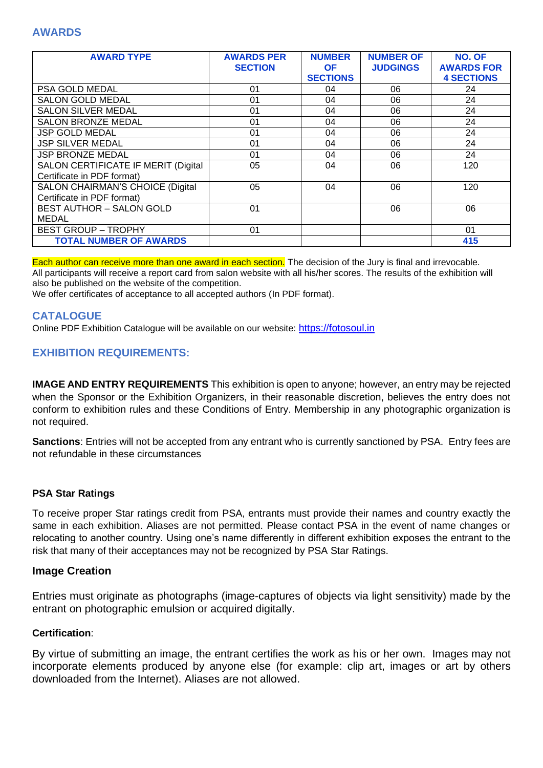## **AWARDS**

| <b>AWARD TYPE</b>                                                     | <b>AWARDS PER</b><br><b>SECTION</b> | <b>NUMBER</b><br><b>OF</b><br><b>SECTIONS</b> | <b>NUMBER OF</b><br><b>JUDGINGS</b> | <b>NO. OF</b><br><b>AWARDS FOR</b><br><b>4 SECTIONS</b> |
|-----------------------------------------------------------------------|-------------------------------------|-----------------------------------------------|-------------------------------------|---------------------------------------------------------|
| PSA GOLD MEDAL                                                        | 01                                  | 04                                            | 06                                  | 24                                                      |
| <b>SALON GOLD MEDAL</b>                                               | 01                                  | 04                                            | 06                                  | 24                                                      |
| <b>SALON SILVER MEDAL</b>                                             | 01                                  | 04                                            | 06                                  | 24                                                      |
| <b>SALON BRONZE MEDAL</b>                                             | 01                                  | 04                                            | 06                                  | 24                                                      |
| <b>JSP GOLD MEDAL</b>                                                 | 01                                  | 04                                            | 06                                  | 24                                                      |
| <b>JSP SILVER MEDAL</b>                                               | 01                                  | 04                                            | 06                                  | 24                                                      |
| <b>JSP BRONZE MEDAL</b>                                               | 01                                  | 04                                            | 06                                  | 24                                                      |
| SALON CERTIFICATE IF MERIT (Digital<br>Certificate in PDF format)     | 05                                  | 04                                            | 06                                  | 120                                                     |
| <b>SALON CHAIRMAN'S CHOICE (Digital</b><br>Certificate in PDF format) | 05                                  | 04                                            | 06                                  | 120                                                     |
| <b>BEST AUTHOR - SALON GOLD</b>                                       | 01                                  |                                               | 06                                  | 06                                                      |
| <b>MEDAL</b>                                                          |                                     |                                               |                                     |                                                         |
| <b>BEST GROUP - TROPHY</b>                                            | 01                                  |                                               |                                     | 01                                                      |
| <b>TOTAL NUMBER OF AWARDS</b>                                         |                                     |                                               |                                     | 415                                                     |

Each author can receive more than one award in each section. The decision of the Jury is final and irrevocable. All participants will receive a report card from salon website with all his/her scores. The results of the exhibition will also be published on the website of the competition.

We offer certificates of acceptance to all accepted authors (In PDF format).

#### **CATALOGUE**

Online PDF Exhibition Catalogue will be available on our website: [https://fotosoul.in](https://fotosoul./)

## **EXHIBITION REQUIREMENTS:**

**IMAGE AND ENTRY REQUIREMENTS** This exhibition is open to anyone; however, an entry may be rejected when the Sponsor or the Exhibition Organizers, in their reasonable discretion, believes the entry does not conform to exhibition rules and these Conditions of Entry. Membership in any photographic organization is not required.

**Sanctions**: Entries will not be accepted from any entrant who is currently sanctioned by PSA. Entry fees are not refundable in these circumstances

#### **PSA Star Ratings**

To receive proper Star ratings credit from PSA, entrants must provide their names and country exactly the same in each exhibition. Aliases are not permitted. Please contact PSA in the event of name changes or relocating to another country. Using one's name differently in different exhibition exposes the entrant to the risk that many of their acceptances may not be recognized by PSA Star Ratings.

#### **Image Creation**

Entries must originate as photographs (image-captures of objects via light sensitivity) made by the entrant on photographic emulsion or acquired digitally.

#### **Certification**:

By virtue of submitting an image, the entrant certifies the work as his or her own. Images may not incorporate elements produced by anyone else (for example: clip art, images or art by others downloaded from the Internet). Aliases are not allowed.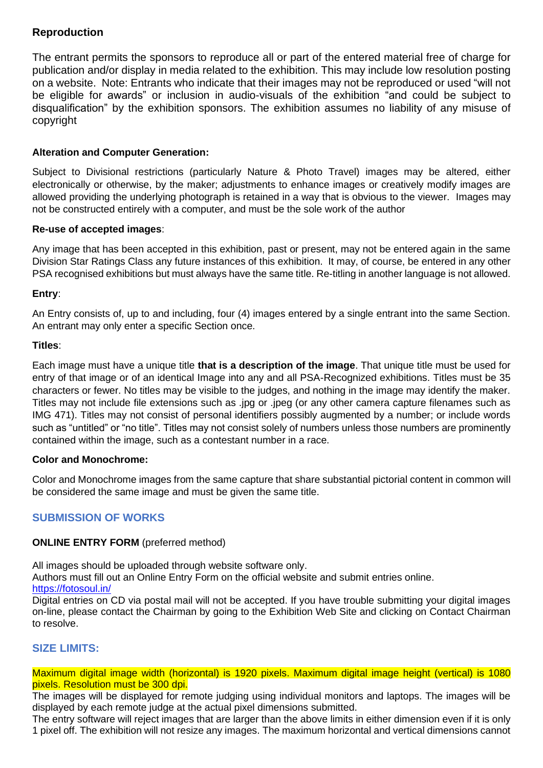# **Reproduction**

The entrant permits the sponsors to reproduce all or part of the entered material free of charge for publication and/or display in media related to the exhibition. This may include low resolution posting on a website. Note: Entrants who indicate that their images may not be reproduced or used "will not be eligible for awards" or inclusion in audio-visuals of the exhibition "and could be subject to disqualification" by the exhibition sponsors. The exhibition assumes no liability of any misuse of copyright

## **Alteration and Computer Generation:**

Subject to Divisional restrictions (particularly Nature & Photo Travel) images may be altered, either electronically or otherwise, by the maker; adjustments to enhance images or creatively modify images are allowed providing the underlying photograph is retained in a way that is obvious to the viewer. Images may not be constructed entirely with a computer, and must be the sole work of the author

## **Re-use of accepted images**:

Any image that has been accepted in this exhibition, past or present, may not be entered again in the same Division Star Ratings Class any future instances of this exhibition. It may, of course, be entered in any other PSA recognised exhibitions but must always have the same title. Re-titling in another language is not allowed.

## **Entry**:

An Entry consists of, up to and including, four (4) images entered by a single entrant into the same Section. An entrant may only enter a specific Section once.

## **Titles**:

Each image must have a unique title **that is a description of the image**. That unique title must be used for entry of that image or of an identical Image into any and all PSA-Recognized exhibitions. Titles must be 35 characters or fewer. No titles may be visible to the judges, and nothing in the image may identify the maker. Titles may not include file extensions such as .jpg or .jpeg (or any other camera capture filenames such as IMG 471). Titles may not consist of personal identifiers possibly augmented by a number; or include words such as "untitled" or "no title". Titles may not consist solely of numbers unless those numbers are prominently contained within the image, such as a contestant number in a race.

#### **Color and Monochrome:**

Color and Monochrome images from the same capture that share substantial pictorial content in common will be considered the same image and must be given the same title.

# **SUBMISSION OF WORKS**

## **ONLINE ENTRY FORM** (preferred method)

All images should be uploaded through website software only.

Authors must fill out an Online Entry Form on the official website and submit entries online. <https://fotosoul.in/>

Digital entries on CD via postal mail will not be accepted. If you have trouble submitting your digital images on-line, please contact the Chairman by going to the Exhibition Web Site and clicking on Contact Chairman to resolve.

## **SIZE LIMITS:**

Maximum digital image width (horizontal) is 1920 pixels. Maximum digital image height (vertical) is 1080 pixels. Resolution must be 300 dpi.

The images will be displayed for remote judging using individual monitors and laptops. The images will be displayed by each remote judge at the actual pixel dimensions submitted.

The entry software will reject images that are larger than the above limits in either dimension even if it is only 1 pixel off. The exhibition will not resize any images. The maximum horizontal and vertical dimensions cannot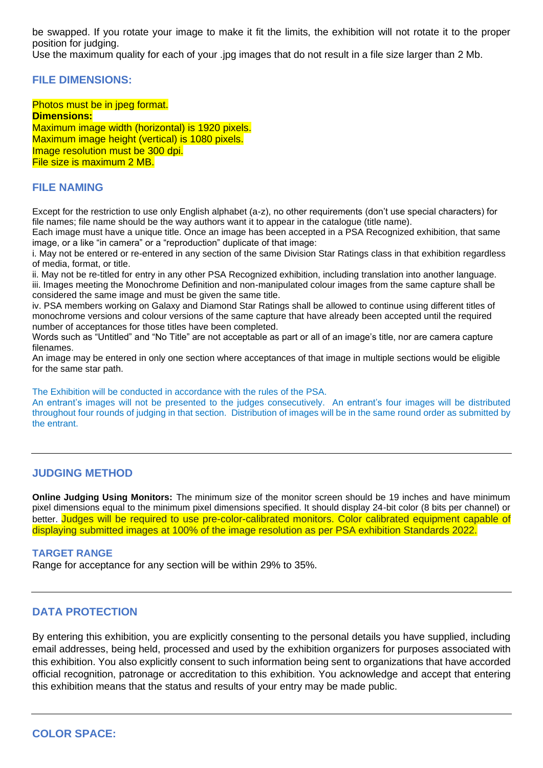be swapped. If you rotate your image to make it fit the limits, the exhibition will not rotate it to the proper position for judging.

Use the maximum quality for each of your .jpg images that do not result in a file size larger than 2 Mb.

#### **FILE DIMENSIONS:**

Photos must be in jpeg format. **Dimensions:** Maximum image width (horizontal) is 1920 pixels. Maximum image height (vertical) is 1080 pixels. Image resolution must be 300 dpi. File size is maximum 2 MB.

#### **FILE NAMING**

Except for the restriction to use only English alphabet (a-z), no other requirements (don't use special characters) for file names; file name should be the way authors want it to appear in the catalogue (title name).

Each image must have a unique title. Once an image has been accepted in a PSA Recognized exhibition, that same image, or a like "in camera" or a "reproduction" duplicate of that image:

i. May not be entered or re-entered in any section of the same Division Star Ratings class in that exhibition regardless of media, format, or title.

ii. May not be re-titled for entry in any other PSA Recognized exhibition, including translation into another language. iii. Images meeting the Monochrome Definition and non-manipulated colour images from the same capture shall be considered the same image and must be given the same title.

iv. PSA members working on Galaxy and Diamond Star Ratings shall be allowed to continue using different titles of monochrome versions and colour versions of the same capture that have already been accepted until the required number of acceptances for those titles have been completed.

Words such as "Untitled" and "No Title" are not acceptable as part or all of an image's title, nor are camera capture filenames.

An image may be entered in only one section where acceptances of that image in multiple sections would be eligible for the same star path.

The Exhibition will be conducted in accordance with the rules of the PSA.

An entrant's images will not be presented to the judges consecutively. An entrant's four images will be distributed throughout four rounds of judging in that section. Distribution of images will be in the same round order as submitted by the entrant.

#### **JUDGING METHOD**

**Online Judging Using Monitors:** The minimum size of the monitor screen should be 19 inches and have minimum pixel dimensions equal to the minimum pixel dimensions specified. It should display 24-bit color (8 bits per channel) or better. Judges will be required to use pre-color-calibrated monitors. Color calibrated equipment capable of displaying submitted images at 100% of the image resolution as per PSA exhibition Standards 2022.

#### **TARGET RANGE**

Range for acceptance for any section will be within 29% to 35%.

#### **DATA PROTECTION**

By entering this exhibition, you are explicitly consenting to the personal details you have supplied, including email addresses, being held, processed and used by the exhibition organizers for purposes associated with this exhibition. You also explicitly consent to such information being sent to organizations that have accorded official recognition, patronage or accreditation to this exhibition. You acknowledge and accept that entering this exhibition means that the status and results of your entry may be made public.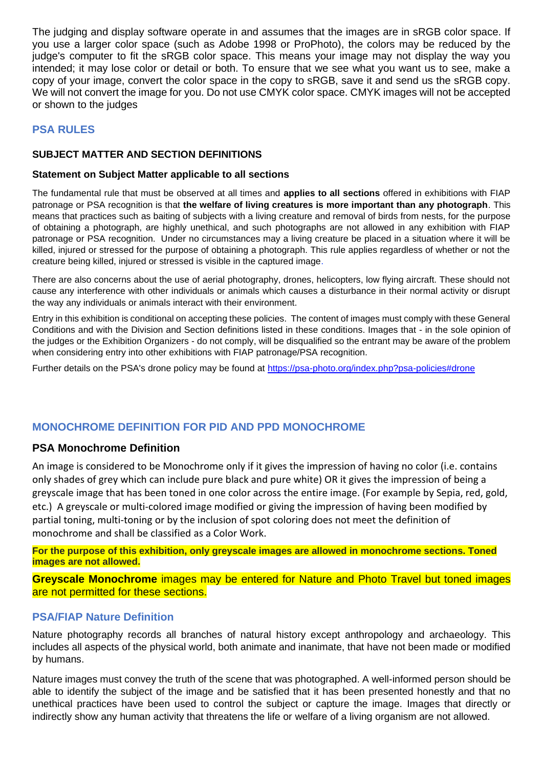The judging and display software operate in and assumes that the images are in sRGB color space. If you use a larger color space (such as Adobe 1998 or ProPhoto), the colors may be reduced by the judge's computer to fit the sRGB color space. This means your image may not display the way you intended; it may lose color or detail or both. To ensure that we see what you want us to see, make a copy of your image, convert the color space in the copy to sRGB, save it and send us the sRGB copy. We will not convert the image for you. Do not use CMYK color space. CMYK images will not be accepted or shown to the judges

# **PSA RULES**

## **SUBJECT MATTER AND SECTION DEFINITIONS**

## **Statement on Subject Matter applicable to all sections**

The fundamental rule that must be observed at all times and **applies to all sections** offered in exhibitions with FIAP patronage or PSA recognition is that **the welfare of living creatures is more important than any photograph**. This means that practices such as baiting of subjects with a living creature and removal of birds from nests, for the purpose of obtaining a photograph, are highly unethical, and such photographs are not allowed in any exhibition with FIAP patronage or PSA recognition. Under no circumstances may a living creature be placed in a situation where it will be killed, injured or stressed for the purpose of obtaining a photograph. This rule applies regardless of whether or not the creature being killed, injured or stressed is visible in the captured image.

There are also concerns about the use of aerial photography, drones, helicopters, low flying aircraft. These should not cause any interference with other individuals or animals which causes a disturbance in their normal activity or disrupt the way any individuals or animals interact with their environment.

Entry in this exhibition is conditional on accepting these policies. The content of images must comply with these General Conditions and with the Division and Section definitions listed in these conditions. Images that - in the sole opinion of the judges or the Exhibition Organizers - do not comply, will be disqualified so the entrant may be aware of the problem when considering entry into other exhibitions with FIAP patronage/PSA recognition.

Further details on the PSA's drone policy may be found at [https://psa-photo.org/index.php?psa-policies#drone](https://psa-photo.org/index.php?psa-policies%23drone)

# **MONOCHROME DEFINITION FOR PID AND PPD MONOCHROME**

## **PSA Monochrome Definition**

An image is considered to be Monochrome only if it gives the impression of having no color (i.e. contains only shades of grey which can include pure black and pure white) OR it gives the impression of being a greyscale image that has been toned in one color across the entire image. (For example by Sepia, red, gold, etc.) A greyscale or multi-colored image modified or giving the impression of having been modified by partial toning, multi-toning or by the inclusion of spot coloring does not meet the definition of monochrome and shall be classified as a Color Work.

**For the purpose of this exhibition, only greyscale images are allowed in monochrome sections. Toned images are not allowed.**

**Greyscale Monochrome** images may be entered for Nature and Photo Travel but toned images are not permitted for these sections.

## **PSA/FIAP Nature Definition**

Nature photography records all branches of natural history except anthropology and archaeology. This includes all aspects of the physical world, both animate and inanimate, that have not been made or modified by humans.

Nature images must convey the truth of the scene that was photographed. A well-informed person should be able to identify the subject of the image and be satisfied that it has been presented honestly and that no unethical practices have been used to control the subject or capture the image. Images that directly or indirectly show any human activity that threatens the life or welfare of a living organism are not allowed.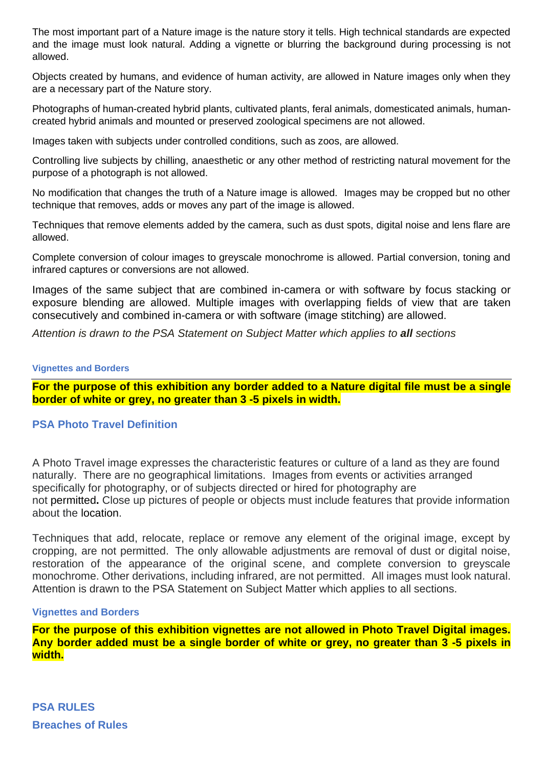The most important part of a Nature image is the nature story it tells. High technical standards are expected and the image must look natural. Adding a vignette or blurring the background during processing is not allowed.

Objects created by humans, and evidence of human activity, are allowed in Nature images only when they are a necessary part of the Nature story.

Photographs of human-created hybrid plants, cultivated plants, feral animals, domesticated animals, humancreated hybrid animals and mounted or preserved zoological specimens are not allowed.

Images taken with subjects under controlled conditions, such as zoos, are allowed.

Controlling live subjects by chilling, anaesthetic or any other method of restricting natural movement for the purpose of a photograph is not allowed.

No modification that changes the truth of a Nature image is allowed. Images may be cropped but no other technique that removes, adds or moves any part of the image is allowed.

Techniques that remove elements added by the camera, such as dust spots, digital noise and lens flare are allowed.

Complete conversion of colour images to greyscale monochrome is allowed. Partial conversion, toning and infrared captures or conversions are not allowed.

Images of the same subject that are combined in-camera or with software by focus stacking or exposure blending are allowed. Multiple images with overlapping fields of view that are taken consecutively and combined in-camera or with software (image stitching) are allowed.

*Attention is drawn to the PSA Statement on Subject Matter which applies to all sections*

#### **Vignettes and Borders**

**For the purpose of this exhibition any border added to a Nature digital file must be a single border of white or grey, no greater than 3 -5 pixels in width.**

## **PSA Photo Travel Definition**

A Photo Travel image expresses the characteristic features or culture of a land as they are found naturally. There are no geographical limitations. Images from events or activities arranged specifically for photography, or of subjects directed or hired for photography are not permitted**.** Close up pictures of people or objects must include features that provide information about the location.

Techniques that add, relocate, replace or remove any element of the original image, except by cropping, are not permitted. The only allowable adjustments are removal of dust or digital noise, restoration of the appearance of the original scene, and complete conversion to greyscale monochrome. Other derivations, including infrared, are not permitted. All images must look natural. Attention is drawn to the PSA Statement on Subject Matter which applies to all sections.

#### **Vignettes and Borders**

**For the purpose of this exhibition vignettes are not allowed in Photo Travel Digital images. Any border added must be a single border of white or grey, no greater than 3 -5 pixels in width.**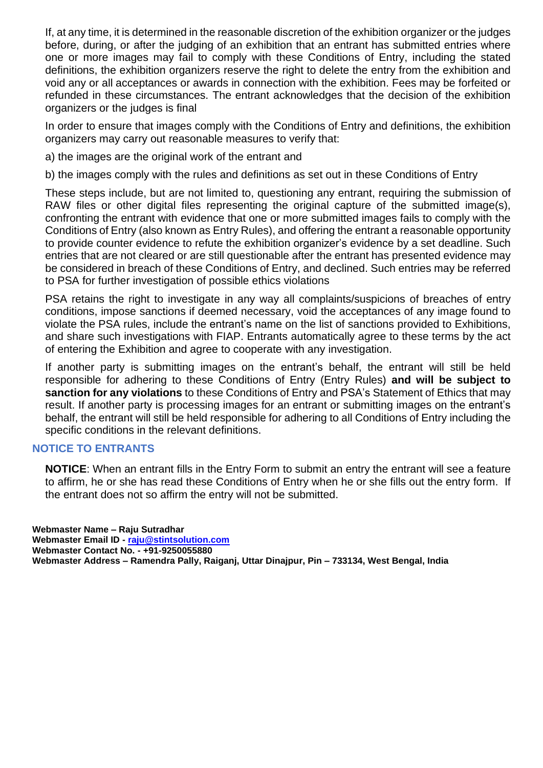If, at any time, it is determined in the reasonable discretion of the exhibition organizer or the judges before, during, or after the judging of an exhibition that an entrant has submitted entries where one or more images may fail to comply with these Conditions of Entry, including the stated definitions, the exhibition organizers reserve the right to delete the entry from the exhibition and void any or all acceptances or awards in connection with the exhibition. Fees may be forfeited or refunded in these circumstances. The entrant acknowledges that the decision of the exhibition organizers or the judges is final

In order to ensure that images comply with the Conditions of Entry and definitions, the exhibition organizers may carry out reasonable measures to verify that:

a) the images are the original work of the entrant and

b) the images comply with the rules and definitions as set out in these Conditions of Entry

These steps include, but are not limited to, questioning any entrant, requiring the submission of RAW files or other digital files representing the original capture of the submitted image(s), confronting the entrant with evidence that one or more submitted images fails to comply with the Conditions of Entry (also known as Entry Rules), and offering the entrant a reasonable opportunity to provide counter evidence to refute the exhibition organizer's evidence by a set deadline. Such entries that are not cleared or are still questionable after the entrant has presented evidence may be considered in breach of these Conditions of Entry, and declined. Such entries may be referred to PSA for further investigation of possible ethics violations

PSA retains the right to investigate in any way all complaints/suspicions of breaches of entry conditions, impose sanctions if deemed necessary, void the acceptances of any image found to violate the PSA rules, include the entrant's name on the list of sanctions provided to Exhibitions, and share such investigations with FIAP. Entrants automatically agree to these terms by the act of entering the Exhibition and agree to cooperate with any investigation.

If another party is submitting images on the entrant's behalf, the entrant will still be held responsible for adhering to these Conditions of Entry (Entry Rules) **and will be subject to sanction for any violations** to these Conditions of Entry and PSA's Statement of Ethics that may result. If another party is processing images for an entrant or submitting images on the entrant's behalf, the entrant will still be held responsible for adhering to all Conditions of Entry including the specific conditions in the relevant definitions.

## **NOTICE TO ENTRANTS**

**NOTICE**: When an entrant fills in the Entry Form to submit an entry the entrant will see a feature to affirm, he or she has read these Conditions of Entry when he or she fills out the entry form. If the entrant does not so affirm the entry will not be submitted.

**Webmaster Name – Raju Sutradhar Webmaster Email ID - [raju@stintsolution.com](mailto:raju@stintsolution.com) Webmaster Contact No. - +91-9250055880 Webmaster Address – Ramendra Pally, Raiganj, Uttar Dinajpur, Pin – 733134, West Bengal, India**